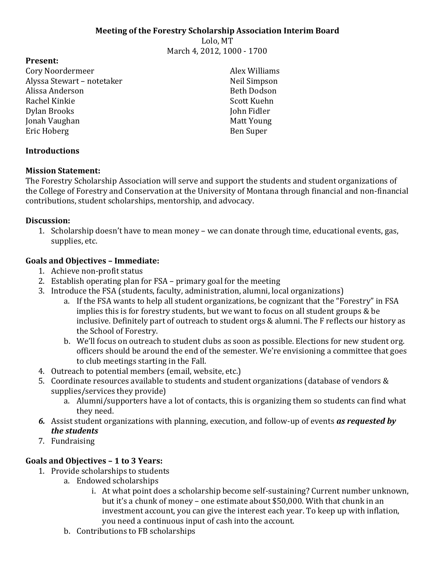#### **Meeting of the Forestry Scholarship Association Interim Board**

Lolo, MT March 4, 2012, 1000 - 1700

#### **Present:**

Cory Noordermeer Alyssa Stewart – notetaker Alissa Anderson Rachel Kinkie Dylan Brooks Jonah Vaughan Eric Hoberg

**Introductions**

#### **Mission Statement:**

The Forestry Scholarship Association will serve and support the students and student organizations of the College of Forestry and Conservation at the University of Montana through financial and non-financial contributions, student scholarships, mentorship, and advocacy.

#### **Discussion:**

1. Scholarship doesn't have to mean money – we can donate through time, educational events, gas, supplies, etc.

# **Goals and Objectives – Immediate:**

- 1. Achieve non-profit status
- 2. Establish operating plan for FSA primary goal for the meeting
- 3. Introduce the FSA (students, faculty, administration, alumni, local organizations)
	- a. If the FSA wants to help all student organizations, be cognizant that the "Forestry" in FSA implies this is for forestry students, but we want to focus on all student groups & be inclusive. Definitely part of outreach to student orgs & alumni. The F reflects our history as the School of Forestry.
	- b. We'll focus on outreach to student clubs as soon as possible. Elections for new student org. officers should be around the end of the semester. We're envisioning a committee that goes to club meetings starting in the Fall.
- 4. Outreach to potential members (email, website, etc.)
- 5. Coordinate resources available to students and student organizations (database of vendors & supplies/services they provide)
	- a. Alumni/supporters have a lot of contacts, this is organizing them so students can find what they need.
- *6.* Assist student organizations with planning, execution, and follow-up of events *as requested by the students*
- 7. Fundraising

# **Goals and Objectives – 1 to 3 Years:**

- 1. Provide scholarships to students
	- a. Endowed scholarships
		- i. At what point does a scholarship become self-sustaining? Current number unknown, but it's a chunk of money – one estimate about \$50,000. With that chunk in an investment account, you can give the interest each year. To keep up with inflation, you need a continuous input of cash into the account.
	- b. Contributions to FB scholarships

Alex Williams Neil Simpson Beth Dodson Scott Kuehn John Fidler Matt Young Ben Super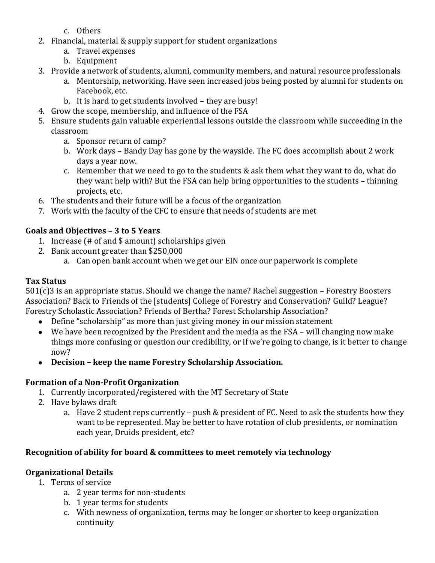- c. Others
- 2. Financial, material & supply support for student organizations
	- a. Travel expenses
	- b. Equipment
- 3. Provide a network of students, alumni, community members, and natural resource professionals
	- a. Mentorship, networking. Have seen increased jobs being posted by alumni for students on Facebook, etc.
	- b. It is hard to get students involved they are busy!
- 4. Grow the scope, membership, and influence of the FSA
- 5. Ensure students gain valuable experiential lessons outside the classroom while succeeding in the classroom
	- a. Sponsor return of camp?
	- b. Work days Bandy Day has gone by the wayside. The FC does accomplish about 2 work days a year now.
	- c. Remember that we need to go to the students & ask them what they want to do, what do they want help with? But the FSA can help bring opportunities to the students – thinning projects, etc.
- 6. The students and their future will be a focus of the organization
- 7. Work with the faculty of the CFC to ensure that needs of students are met

# **Goals and Objectives – 3 to 5 Years**

- 1. Increase (# of and \$ amount) scholarships given
- 2. Bank account greater than \$250,000
	- a. Can open bank account when we get our EIN once our paperwork is complete

# **Tax Status**

501(c)3 is an appropriate status. Should we change the name? Rachel suggestion – Forestry Boosters Association? Back to Friends of the [students] College of Forestry and Conservation? Guild? League? Forestry Scholastic Association? Friends of Bertha? Forest Scholarship Association?

- Define "scholarship" as more than just giving money in our mission statement
- We have been recognized by the President and the media as the FSA will changing now make things more confusing or question our credibility, or if we're going to change, is it better to change now?
- **Decision – keep the name Forestry Scholarship Association.**

## **Formation of a Non-Profit Organization**

- 1. Currently incorporated/registered with the MT Secretary of State
- 2. Have bylaws draft
	- a. Have 2 student reps currently push & president of FC. Need to ask the students how they want to be represented. May be better to have rotation of club presidents, or nomination each year, Druids president, etc?

# **Recognition of ability for board & committees to meet remotely via technology**

# **Organizational Details**

- 1. Terms of service
	- a. 2 year terms for non-students
	- b. 1 year terms for students
	- c. With newness of organization, terms may be longer or shorter to keep organization continuity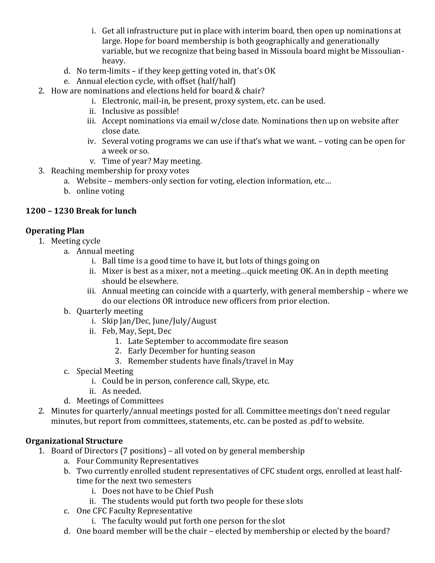- i. Get all infrastructure put in place with interim board, then open up nominations at large. Hope for board membership is both geographically and generationally variable, but we recognize that being based in Missoula board might be Missoulianheavy.
- d. No term-limits if they keep getting voted in, that's OK
- e. Annual election cycle, with offset (half/half)
- 2. How are nominations and elections held for board & chair?
	- i. Electronic, mail-in, be present, proxy system, etc. can be used.
	- ii. Inclusive as possible!
	- iii. Accept nominations via email w/close date. Nominations then up on website after close date.
	- iv. Several voting programs we can use if that's what we want. voting can be open for a week or so.
	- v. Time of year? May meeting.
- 3. Reaching membership for proxy votes
	- a. Website members-only section for voting, election information, etc…
	- b. online voting

# **1200 – 1230 Break for lunch**

# **Operating Plan**

- 1. Meeting cycle
	- a. Annual meeting
		- i. Ball time is a good time to have it, but lots of things going on
		- ii. Mixer is best as a mixer, not a meeting…quick meeting OK. An in depth meeting should be elsewhere.
		- iii. Annual meeting can coincide with a quarterly, with general membership where we do our elections OR introduce new officers from prior election.
	- b. Quarterly meeting
		- i. Skip Jan/Dec, June/July/August
		- ii. Feb, May, Sept, Dec
			- 1. Late September to accommodate fire season
			- 2. Early December for hunting season
			- 3. Remember students have finals/travel in May
	- c. Special Meeting
		- i. Could be in person, conference call, Skype, etc.
		- ii. As needed.
	- d. Meetings of Committees
- 2. Minutes for quarterly/annual meetings posted for all. Committee meetings don't need regular minutes, but report from committees, statements, etc. can be posted as .pdf to website.

# **Organizational Structure**

- 1. Board of Directors (7 positions) all voted on by general membership
	- a. Four Community Representatives
	- b. Two currently enrolled student representatives of CFC student orgs, enrolled at least halftime for the next two semesters
		- i. Does not have to be Chief Push
		- ii. The students would put forth two people for these slots
	- c. One CFC Faculty Representative
		- i. The faculty would put forth one person for the slot
	- d. One board member will be the chair elected by membership or elected by the board?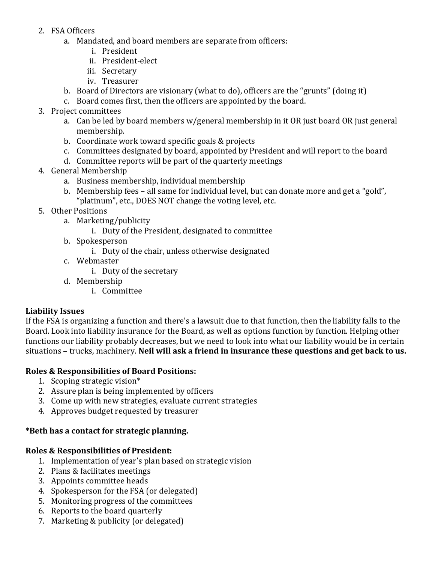- 2. FSA Officers
	- a. Mandated, and board members are separate from officers:
		- i. President
		- ii. President-elect
		- iii. Secretary
		- iv. Treasurer
	- b. Board of Directors are visionary (what to do), officers are the "grunts" (doing it)
	- c. Board comes first, then the officers are appointed by the board.
- 3. Project committees
	- a. Can be led by board members w/general membership in it OR just board OR just general membership.
	- b. Coordinate work toward specific goals & projects
	- c. Committees designated by board, appointed by President and will report to the board
	- d. Committee reports will be part of the quarterly meetings
- 4. General Membership
	- a. Business membership, individual membership
	- b. Membership fees all same for individual level, but can donate more and get a "gold", "platinum", etc., DOES NOT change the voting level, etc.
- 5. Other Positions
	- a. Marketing/publicity
		- i. Duty of the President, designated to committee
	- b. Spokesperson
		- i. Duty of the chair, unless otherwise designated
	- c. Webmaster
		- i. Duty of the secretary
	- d. Membership
		- i. Committee

## **Liability Issues**

If the FSA is organizing a function and there's a lawsuit due to that function, then the liability falls to the Board. Look into liability insurance for the Board, as well as options function by function. Helping other functions our liability probably decreases, but we need to look into what our liability would be in certain situations – trucks, machinery. **Neil will ask a friend in insurance these questions and get back to us.**

#### **Roles & Responsibilities of Board Positions:**

- 1. Scoping strategic vision\*
- 2. Assure plan is being implemented by officers
- 3. Come up with new strategies, evaluate current strategies
- 4. Approves budget requested by treasurer

## **\*Beth has a contact for strategic planning.**

## **Roles & Responsibilities of President:**

- 1. Implementation of year's plan based on strategic vision
- 2. Plans & facilitates meetings
- 3. Appoints committee heads
- 4. Spokesperson for the FSA (or delegated)
- 5. Monitoring progress of the committees
- 6. Reports to the board quarterly
- 7. Marketing & publicity (or delegated)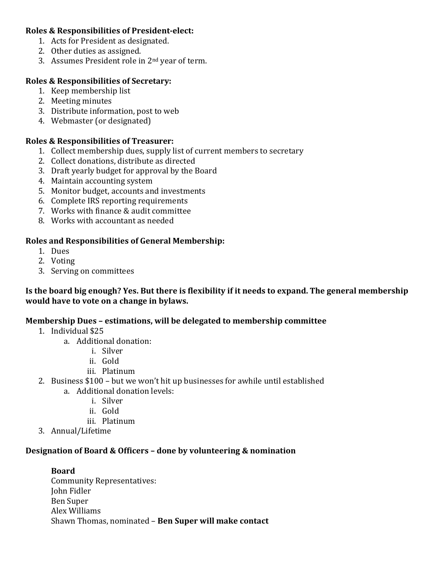#### **Roles & Responsibilities of President-elect:**

- 1. Acts for President as designated.
- 2. Other duties as assigned.
- 3. Assumes President role in 2nd year of term.

#### **Roles & Responsibilities of Secretary:**

- 1. Keep membership list
- 2. Meeting minutes
- 3. Distribute information, post to web
- 4. Webmaster (or designated)

#### **Roles & Responsibilities of Treasurer:**

- 1. Collect membership dues, supply list of current members to secretary
- 2. Collect donations, distribute as directed
- 3. Draft yearly budget for approval by the Board
- 4. Maintain accounting system
- 5. Monitor budget, accounts and investments
- 6. Complete IRS reporting requirements
- 7. Works with finance & audit committee
- 8. Works with accountant as needed

## **Roles and Responsibilities of General Membership:**

- 1. Dues
- 2. Voting
- 3. Serving on committees

#### **Is the board big enough? Yes. But there is flexibility if it needs to expand. The general membership would have to vote on a change in bylaws.**

## **Membership Dues – estimations, will be delegated to membership committee**

- 1. Individual \$25
	- a. Additional donation:
		- i. Silver
		- ii. Gold
		- iii. Platinum
- 2. Business \$100 but we won't hit up businesses for awhile until established
	- a. Additional donation levels:
		- i. Silver
		- ii. Gold
		- iii. Platinum
- 3. Annual/Lifetime

## **Designation of Board & Officers – done by volunteering & nomination**

#### **Board** Community Representatives: John Fidler Ben Super Alex Williams Shawn Thomas, nominated – **Ben Super will make contact**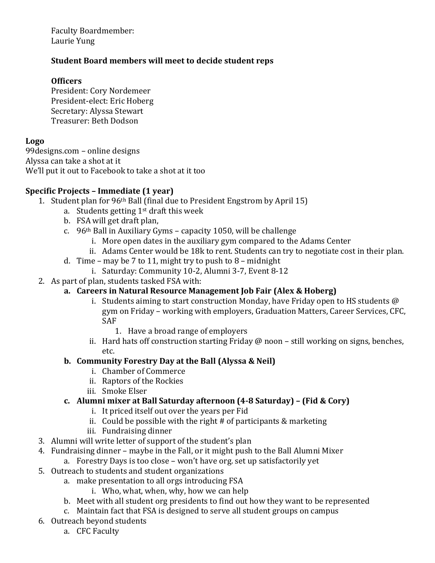Faculty Boardmember: Laurie Yung

## **Student Board members will meet to decide student reps**

#### **Officers**

President: Cory Nordemeer President-elect: Eric Hoberg Secretary: Alyssa Stewart Treasurer: Beth Dodson

#### **Logo**

99designs.com – online designs Alyssa can take a shot at it We'll put it out to Facebook to take a shot at it too

## **Specific Projects – Immediate (1 year)**

- 1. Student plan for 96th Ball (final due to President Engstrom by April 15)
	- a. Students getting  $1<sup>st</sup>$  draft this week
	- b. FSA will get draft plan,
	- c.  $96<sup>th</sup>$  Ball in Auxiliary Gyms capacity 1050, will be challenge
		- i. More open dates in the auxiliary gym compared to the Adams Center
		- ii. Adams Center would be 18k to rent. Students can try to negotiate cost in their plan.
	- d. Time may be 7 to 11, might try to push to  $8$  midnight
		- i. Saturday: Community 10-2, Alumni 3-7, Event 8-12
- 2. As part of plan, students tasked FSA with:

# **a. Careers in Natural Resource Management Job Fair (Alex & Hoberg)**

- i. Students aiming to start construction Monday, have Friday open to HS students @ gym on Friday – working with employers, Graduation Matters, Career Services, CFC, SAF
	- 1. Have a broad range of employers
- ii. Hard hats off construction starting Friday  $\omega$  noon still working on signs, benches, etc.

#### **b. Community Forestry Day at the Ball (Alyssa & Neil)**

- i. Chamber of Commerce
- ii. Raptors of the Rockies
- iii. Smoke Elser

## **c. Alumni mixer at Ball Saturday afternoon (4-8 Saturday) – (Fid & Cory)**

- i. It priced itself out over the years per Fid
- ii. Could be possible with the right # of participants & marketing
- iii. Fundraising dinner
- 3. Alumni will write letter of support of the student's plan
- 4. Fundraising dinner maybe in the Fall, or it might push to the Ball Alumni Mixer
	- a. Forestry Days is too close won't have org. set up satisfactorily yet
- 5. Outreach to students and student organizations
	- a. make presentation to all orgs introducing FSA
		- i. Who, what, when, why, how we can help
	- b. Meet with all student org presidents to find out how they want to be represented
	- c. Maintain fact that FSA is designed to serve all student groups on campus
- 6. Outreach beyond students
	- a. CFC Faculty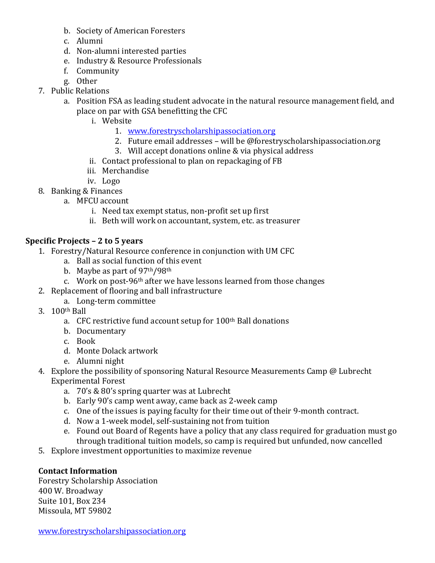- b. Society of American Foresters
- c. Alumni
- d. Non-alumni interested parties
- e. Industry & Resource Professionals
- f. Community
- g. Other
- 7. Public Relations
	- a. Position FSA as leading student advocate in the natural resource management field, and place on par with GSA benefitting the CFC
		- i. Website
			- 1. [www.forestryscholarshipassociation.org](http://www.forestryscholarshipassociation.org/)
			- 2. Future email addresses will be @forestryscholarshipassociation.org
			- 3. Will accept donations online & via physical address
		- ii. Contact professional to plan on repackaging of FB
		- iii. Merchandise
		- iv. Logo
- 8. Banking & Finances
	- a. MFCU account
		- i. Need tax exempt status, non-profit set up first
		- ii. Beth will work on accountant, system, etc. as treasurer

# **Specific Projects – 2 to 5 years**

- 1. Forestry/Natural Resource conference in conjunction with UM CFC
	- a. Ball as social function of this event
	- b. Maybe as part of 97th/98th
	- c. Work on post-96th after we have lessons learned from those changes
- 2. Replacement of flooring and ball infrastructure
	- a. Long-term committee
- 3. 100th Ball
	- a. CFC restrictive fund account setup for 100th Ball donations
	- b. Documentary
	- c. Book
	- d. Monte Dolack artwork
	- e. Alumni night
- 4. Explore the possibility of sponsoring Natural Resource Measurements Camp @ Lubrecht Experimental Forest
	- a. 70's & 80's spring quarter was at Lubrecht
	- b. Early 90's camp went away, came back as 2-week camp
	- c. One of the issues is paying faculty for their time out of their 9-month contract.
	- d. Now a 1-week model, self-sustaining not from tuition
	- e. Found out Board of Regents have a policy that any class required for graduation must go through traditional tuition models, so camp is required but unfunded, now cancelled
- 5. Explore investment opportunities to maximize revenue

# **Contact Information**

Forestry Scholarship Association 400 W. Broadway Suite 101, Box 234 Missoula, MT 59802